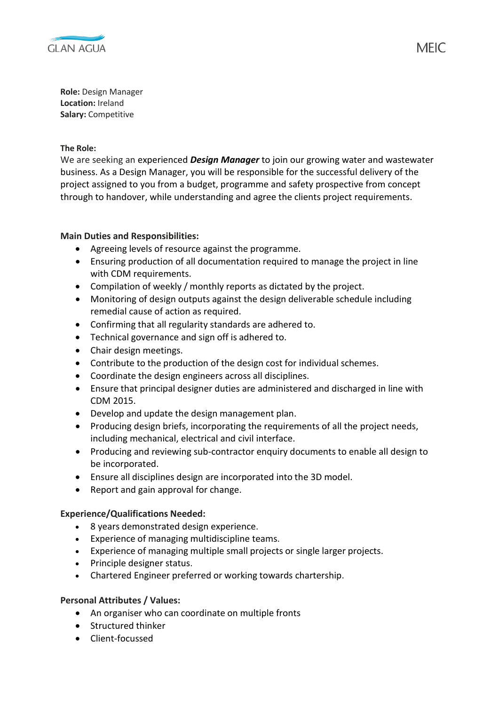

**Role:** Design Manager **Location:** Ireland **Salary:** Competitive

### **The Role:**

We are seeking an experienced *Design Manager* to join our growing water and wastewater business. As a Design Manager, you will be responsible for the successful delivery of the project assigned to you from a budget, programme and safety prospective from concept through to handover, while understanding and agree the clients project requirements.

# **Main Duties and Responsibilities:**

- Agreeing levels of resource against the programme.
- Ensuring production of all documentation required to manage the project in line with CDM requirements.
- Compilation of weekly / monthly reports as dictated by the project.
- Monitoring of design outputs against the design deliverable schedule including remedial cause of action as required.
- Confirming that all regularity standards are adhered to.
- Technical governance and sign off is adhered to.
- Chair design meetings.
- Contribute to the production of the design cost for individual schemes.
- Coordinate the design engineers across all disciplines.
- Ensure that principal designer duties are administered and discharged in line with CDM 2015.
- Develop and update the design management plan.
- Producing design briefs, incorporating the requirements of all the project needs, including mechanical, electrical and civil interface.
- Producing and reviewing sub-contractor enquiry documents to enable all design to be incorporated.
- Ensure all disciplines design are incorporated into the 3D model.
- Report and gain approval for change.

# **Experience/Qualifications Needed:**

- 8 years demonstrated design experience.
- Experience of managing multidiscipline teams.
- Experience of managing multiple small projects or single larger projects.
- Principle designer status.
- Chartered Engineer preferred or working towards chartership.

# **Personal Attributes / Values:**

- An organiser who can coordinate on multiple fronts
- Structured thinker
- Client-focussed